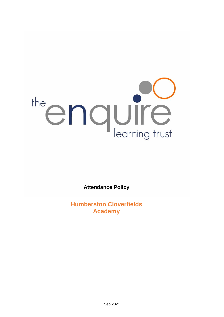# the enquire

**Attendance Policy**

**Humberston Cloverfields Academy**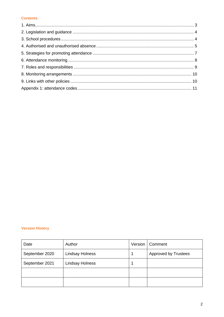#### **Contents**

# **Version History**

| Date           | Author                 | Version | Comment                     |
|----------------|------------------------|---------|-----------------------------|
| September 2020 | <b>Lindsay Holness</b> |         | <b>Approved by Trustees</b> |
| September 2021 | <b>Lindsay Holness</b> |         |                             |
|                |                        |         |                             |
|                |                        |         |                             |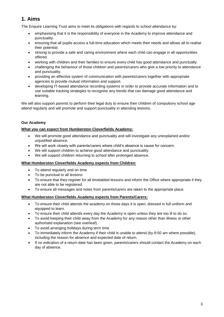# **1. Aims**

The Enquire Learning Trust aims to meet its obligations with regards to school attendance by:

- emphasising that it is the responsibility of everyone in the Academy to improve attendance and punctuality.
- ensuring that all pupils access a full-time education which meets their needs and allows all to realise their potential.
- striving to provide a safe and caring environment where each child can engage in all opportunities offered.
- working with children and their families to ensure every child has good attendance and punctually.
- challenging the behaviour of those children and parents/carers who give a low priority to attendance and punctuality.
- providing an effective system of communication with parents/carers together with appropriate agencies to provide mutual information and support.
- developing IT-based attendance recording systems in order to provide accurate information and to use suitable tracking strategies to recognise any trends that can damage good attendance and learning.

We will also support parents to perform their legal duty to ensure their children of compulsory school age attend regularly and will promote and support punctuality in attending lessons.

# **Our Academy**

# **What you can expect from Humberston Cloverfields Academy:**

- We will promote good attendance and punctuality and will investigate any unexplained and/or unjustified absence.
- We will work closely with parents/carers where child's absence is cause for concern.
- We will support children to achieve good attendance and punctuality.
- We will support children returning to school after prolonged absence.

# **What Humberston Cloverfields Academy expects from Children:**

- To attend regularly and on time
- To be punctual to all lessons
- To ensure that they register for all timetabled lessons and inform the Office where appropriate if they are not able to be registered.
- To ensure all messages and notes from parents/carers are taken to the appropriate place.

# **What Humberston Cloverfields Academy expects from Parents/Carers:**

- To ensure their child attends the academy on those days it is open, dressed in full uniform and equipped to learn.
- To ensure their child attends every day the Academy is open unless they are too ill to do so.
- To avoid keeping their child away from the Academy for any reason other than illness or other authorised explanation (see overleaf).
- To avoid arranging holidays during term time
- To immediately inform the Academy if their child is unable to attend (by 8:50 am where possible), including the reason for absence and expected date of return.
- If no indication of a return date has been given, parents/carers should contact the Academy on each day of absence.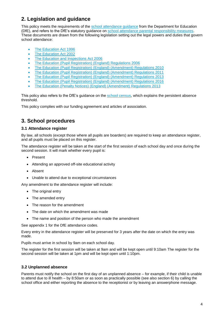# **2. Legislation and guidance**

This policy meets the requirements of the [school attendance guidance](https://www.gov.uk/government/publications/school-attendance) from the Department for Education (DfE), and refers to the DfE's statutory guidance on [school attendance parental responsibility measures.](https://www.gov.uk/government/publications/parental-responsibility-measures-for-behaviour-and-attendance) These documents are drawn from the following legislation setting out the legal powers and duties that govern school attendance:

- [The Education Act 1996](https://www.legislation.gov.uk/ukpga/1996/56/part/VI/chapter/II)
- [The Education Act 2002](http://www.legislation.gov.uk/ukpga/2002/32/part/3/chapter/3)
- [The Education and Inspections Act 2006](http://www.legislation.gov.uk/ukpga/2006/40/part/7/chapter/2/crossheading/school-attendance)
- [The Education \(Pupil Registration\) \(England\) Regulations 2006](http://www.legislation.gov.uk/uksi/2006/1751/contents/made)
- [The Education \(Pupil Registration\) \(England\) \(Amendment\) Regulations 2010](http://www.centralbedfordshire.gov.uk/Images/amendment-regulation-2010_tcm3-8642.pdf)
- [The Education \(Pupil Registration\) \(England\) \(Amendment\) Regulations 2011](http://www.legislation.gov.uk/uksi/2011/1625/made)
- [The Education \(Pupil Registration\) \(England\) \(Amendment\) Regulations 2013](http://www.legislation.gov.uk/uksi/2013/756/made)
- [The Education \(Pupil Registration\) \(England\) \(Amendment\) Regulations 2016](http://legislation.data.gov.uk/uksi/2016/792/made/data.html)
- [The Education \(Penalty Notices\) \(England\) \(Amendment\) Regulations 2013](http://www.legislation.gov.uk/uksi/2013/756/pdfs/uksiem_20130756_en.pdf)

This policy also refers to the DfE's guidance on the [school census,](https://www.gov.uk/government/publications/school-census-2017-to-2018-guide-for-schools-and-las) which explains the persistent absence threshold.

This policy complies with our funding agreement and articles of association.

# **3. School procedures**

#### **3.1 Attendance register**

By law, all schools (except those where all pupils are boarders) are required to keep an attendance register, and all pupils must be placed on this register.

The attendance register will be taken at the start of the first session of each school day and once during the second session. It will mark whether every pupil is:

- Present
- Attending an approved off-site educational activity
- Absent
- Unable to attend due to exceptional circumstances

Any amendment to the attendance register will include:

- The original entry
- The amended entry
- The reason for the amendment
- The date on which the amendment was made
- The name and position of the person who made the amendment

See appendix 1 for the DfE attendance codes.

Every entry in the attendance register will be preserved for 3 years after the date on which the entry was made.

Pupils must arrive in school by 9am on each school day.

The register for the first session will be taken at 9am and will be kept open until 9:10am The register for the second session will be taken at 1pm and will be kept open until 1:10pm.

# **3.2 Unplanned absence**

Parents must notify the school on the first day of an unplanned absence – for example, if their child is unable to attend due to ill health – by 8:50am or as soon as practically possible (see also section 6) by calling the school office and either reporting the absence to the receptionist or by leaving an answerphone message.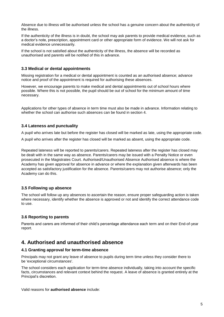Absence due to illness will be authorised unless the school has a genuine concern about the authenticity of the illness.

If the authenticity of the illness is in doubt, the school may ask parents to provide medical evidence, such as a doctor's note, prescription, appointment card or other appropriate form of evidence. We will not ask for medical evidence unnecessarily.

If the school is not satisfied about the authenticity of the illness, the absence will be recorded as unauthorised and parents will be notified of this in advance.

# **3.3 Medical or dental appointments**

Missing registration for a medical or dental appointment is counted as an authorised absence; advance notice and proof of the appointment is required for authorising these absences.

However, we encourage parents to make medical and dental appointments out of school hours where possible. Where this is not possible, the pupil should be out of school for the minimum amount of time necessary.

Applications for other types of absence in term time must also be made in advance. Information relating to whether the school can authorise such absences can be found in section 4.

# **3.4 Lateness and punctuality**

A pupil who arrives late but before the register has closed will be marked as late, using the appropriate code.

A pupil who arrives after the register has closed will be marked as absent, using the appropriate code.

Repeated lateness will be reported to parents/carers. Repeated lateness after the register has closed may be dealt with in the same way as absence. Parents/carers may be issued with a Penalty Notice or even prosecuted in the Magistrates Court. Authorised/Unauthorised Absence Authorised absence is where the Academy has given approval for absence in advance or where the explanation given afterwards has been accepted as satisfactory justification for the absence. Parents/carers may not authorise absence; only the Academy can do this.

# **3.5 Following up absence**

The school will follow up any absences to ascertain the reason, ensure proper safeguarding action is taken where necessary, identify whether the absence is approved or not and identify the correct attendance code to use.

# **3.6 Reporting to parents**

Parents and carers are informed of their child's percentage attendance each term and on their End-of-year report.

# **4. Authorised and unauthorised absence**

# **4.1 Granting approval for term-time absence**

Principals may not grant any leave of absence to pupils during term time unless they consider there to be 'exceptional circumstances'.

The school considers each application for term-time absence individually, taking into account the specific facts, circumstances and relevant context behind the request. A leave of absence is granted entirely at the Principal's discretion.

Valid reasons for **authorised absence** include: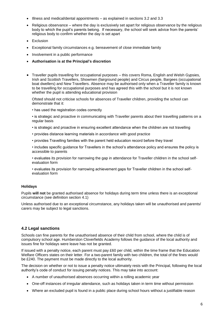- Illness and medical/dental appointments as explained in sections 3.2 and 3.3
- Religious observance where the day is exclusively set apart for religious observance by the religious body to which the pupil's parents belong. If necessary, the school will seek advice from the parents' religious body to confirm whether the day is set apart
- Exclusion
- Exceptional family circumstances e.g. bereavement of close immediate family
- Involvement in a public performance
- **Authorisation is at the Principal's discretion**
- Traveller pupils travelling for occupational purposes this covers Roma, English and Welsh Gypsies, Irish and Scottish Travellers, Showmen (fairground people) and Circus people, Bargees (occupational boat dwellers) and New Travellers. Absence may be authorised only when a Traveller family is known to be travelling for occupational purposes and has agreed this with the school but it is not known whether the pupil is attending educational provision

Ofsted should not criticise schools for absences of Traveller children, providing the school can demonstrate that it:

- has used the registration codes correctly
- is strategic and proactive in communicating with Traveller parents about their travelling patterns on a regular basis
- is strategic and proactive in ensuring excellent attendance when the children are not travelling
- provides distance learning materials in accordance with good practice
- provides Travelling families with the parent held education record before they travel

• includes specific guidance for Travellers in the school's attendance policy and ensures the policy is accessible to parents

- evaluates its provision for narrowing the gap in attendance for Traveller children in the school selfevaluation form
- evaluates its provision for narrowing achievement gaps for Traveller children in the school selfevaluation form

#### **Holidays**

Pupils **will not** be granted authorised absence for holidays during term time unless there is an exceptional circumstance (see definition section 4.1)

Unless authorised due to an exceptional circumstance, any holidays taken will be unauthorised and parents/ carers may be subject to legal sanctions.

# **4.2 Legal sanctions**

Schools can fine parents for the unauthorised absence of their child from school, where the child is of compulsory school age. Humberston Cloverfields Academy follows the guidance of the local authority and issues fine for holidays were leave has not be granted.

If issued with a penalty notice, each parent must pay £60 per child, within the time frame that the Education Welfare Officers states on their letter. For a two-parent family with two children, the total of the fines would be £240. The payment must be made directly to the local authority.

The decision on whether or not to issue a penalty notice ultimately rests with the Principal, following the local authority's code of conduct for issuing penalty notices. This may take into account:

- A number of unauthorised absences occurring within a rolling academic year
- One-off instances of irregular attendance, such as holidays taken in term time without permission
- Where an excluded pupil is found in a public place during school hours without a justifiable reason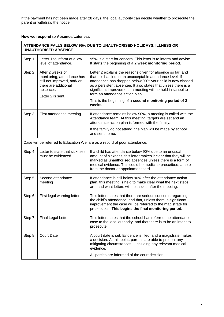If the payment has not been made after 28 days, the local authority can decide whether to prosecute the parent or withdraw the notice.

# **How we respond to Absence/Lateness**

| ATTENDANCE FALLS BELOW 95% DUE TO UNAUTHORISED HOLIDAYS, ILLNESS OR<br><b>UNAUTHORISED ABSENCE</b> |                                                                                                                                         |                                                                                                                                                                                                                                                                                                                                                                                                                                    |
|----------------------------------------------------------------------------------------------------|-----------------------------------------------------------------------------------------------------------------------------------------|------------------------------------------------------------------------------------------------------------------------------------------------------------------------------------------------------------------------------------------------------------------------------------------------------------------------------------------------------------------------------------------------------------------------------------|
| Step 1                                                                                             | Letter 1 to inform of a low<br>level of attendance.                                                                                     | 95% is a start for concern. This letter is to inform and advise.<br>It starts the beginning of a 2 week monitoring period.                                                                                                                                                                                                                                                                                                         |
| Step 2                                                                                             | After 2 weeks of<br>monitoring, attendance has<br>still not improved, and/ or<br>there are additional<br>absences-<br>Letter 2 is sent. | Letter 2 explains the reasons given for absence so far, and<br>that this has led to an unacceptable attendance level. If<br>attendance has dropped below 90% your child is now classed<br>as a persistent absentee. It also states that unless there is a<br>significant improvement, a meeting will be held in school to<br>form an attendance action plan.<br>This is the beginning of a second monitoring period of 2<br>weeks. |
| Step 3                                                                                             | First attendance meeting.                                                                                                               | If attendance remains below 90%, a meeting is called with the<br>Attendance team. At this meeting, targets are set and an<br>attendance action plan is formed with the family.                                                                                                                                                                                                                                                     |
|                                                                                                    |                                                                                                                                         | If the family do not attend, the plan will be made by school<br>and sent home.                                                                                                                                                                                                                                                                                                                                                     |
| Case will be referred to Education Welfare as a record of poor attendance.                         |                                                                                                                                         |                                                                                                                                                                                                                                                                                                                                                                                                                                    |
| Step 4                                                                                             | Letter to state that sickness<br>must be evidenced.                                                                                     | If a child has attendance below 90% due to an unusual<br>amount of sickness, this letter makes it clear that they will be<br>marked as unauthorised absences unless there is a form of<br>medical evidence. This could be medicine prescribed, a note<br>from the doctor or appointment card.                                                                                                                                      |
| Step 5                                                                                             | Second attendance<br>meeting                                                                                                            | If attendance is still below 90% after the attendance action<br>plan, this meeting is held to make clear what the next steps<br>are, and what letters will be issued after the meeting.                                                                                                                                                                                                                                            |
| Step 6                                                                                             | First legal warning letter                                                                                                              | This letter states that there are serious concerns regarding<br>the child's attendance, and that, unless there is significant<br>improvement the case will be referred to the magistrate for<br>prosecution. This begins the final monitoring period.                                                                                                                                                                              |
| Step 7                                                                                             | <b>Final Legal Letter</b>                                                                                                               | This letter states that the school has referred the attendance<br>case to the local authority, and that there is to be an intent to<br>prosecute.                                                                                                                                                                                                                                                                                  |
| Step 8                                                                                             | <b>Court Date</b>                                                                                                                       | A court date is set. Evidence is filed, and a magistrate makes<br>a decision. At this point, parents are able to present any<br>mitigating circumstances - Including any relevant medical<br>evidence.<br>All parties are informed of the court decision.                                                                                                                                                                          |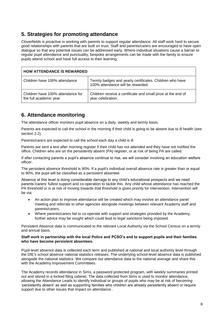# **5. Strategies for promoting attendance**

Cloverfields is proactive in working with parents to support regular attendance. All staff work hard to secure good relationships with parents that are built on trust. Staff and parents/carers are encouraged to have open dialogue so that any potential issues can be addressed early. Where individual situations cause a barrier to regular pupil attendance and punctuality, bespoke arrangements can be made with the family to ensure pupils attend school and have full access to their learning.

| <b>HOW ATTENDANCE IS REWARDED</b>                           |                                                                                               |  |
|-------------------------------------------------------------|-----------------------------------------------------------------------------------------------|--|
| Children have 100% attendance                               | Termly badges and yearly certificates. Children who have<br>100% attendance will be rewarded. |  |
| Children have 100% attendance for<br>the full academic year | Children receive a certificate and small prize at the end of<br>year celebration.             |  |

# **6. Attendance monitoring**

The attendance officer monitors pupil absence on a daily, weekly and termly basis.

Parents are expected to call the school in the morning if their child is going to be absent due to ill health (see section 3.2).

Parents/carers are expected to call the school each day a child is ill.

Parents are sent a text after morning register if their child has not attended and they have not notified the office. Children who are on the persistently absent (PA) register, or at risk of being PA are called.

If after contacting parents a pupil's absence continue to rise, we will consider involving an education welfare officer.

The persistent absence threshold is 90%. If a pupil's individual overall absence rate is greater than or equal to 90%, the pupil will be classified as a persistent absentee.

Absence at this level is doing considerable damage to any child's educational prospects and we need parents'/carers' fullest support and co-operation to tackle this. Any child whose attendance has reached the PA threshold or is at risk of moving towards that threshold is given priority for intervention. Intervention will be via:

- An action plan to improve attendance will be created which may involve an attendance panel meeting and referrals to other agencies alongside meetings between relevant Academy staff and parents/carers.
- Where parents/carers fail to co-operate with support and strategies provided by the Academy, further advice may be sought which could lead to legal sanctions being imposed.

Persistent Absence data is communicated to the relevant Local Authority via the School Census on a termly and annual basis.

#### **Staff work in partnership with the local Police and PCSO's and to support pupils and their families who have become persistent absentees.**

Pupil-level absence data is collected each term and published at national and local authority level through the DfE's school absence national statistics releases. The underlying school-level absence data is published alongside the national statistics. We compare our attendance data to the national average and share this with the Academy Improvement Committees.

The Academy records attendance in Sims, a password protected program, with weekly summaries printed out and stored in a locked filing cabinet. The data collected from Sims is used to monitor attendance, allowing the Attendance Leads to identify individual or groups of pupils who may be at risk of becoming 'persistently absent' as well as supporting families who children are already persistently absent or require support due to other issues that impact on attendance..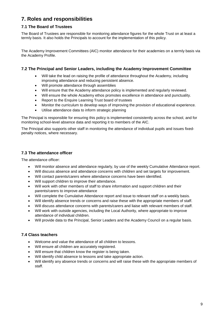# **7. Roles and responsibilities**

# **7.1 The Board of Trustees**

The Board of Trustees are responsible for monitoring attendance figures for the whole Trust on at least a termly basis. It also holds the Principals to account for the implementation of this policy.

The Academy Improvement Committees (AIC) monitor attendance for their academies on a termly basis via the Academy Profile.

# **7.2 The Principal and Senior Leaders, including the Academy Improvement Committee**

- Will take the lead on raising the profile of attendance throughout the Academy, including improving attendance and reducing persistent absence.
- Will promote attendance through assemblies
- Will ensure that the Academy attendance policy is implemented and regularly reviewed.
- Will ensure the whole Academy ethos promotes excellence in attendance and punctuality.
- Report to the Enquire Learning Trust board of trustees
- Monitor the curriculum to develop ways of improving the provision of educational experience.
- Utilise attendance data to inform strategic planning

The Principal is responsible for ensuring this policy is implemented consistently across the school, and for monitoring school-level absence data and reporting it to members of the AIC.

The Principal also supports other staff in monitoring the attendance of individual pupils and issues fixedpenalty notices, where necessary.

# **7.3 The attendance officer**

The attendance officer:

- Will monitor absence and attendance regularly, by use of the weekly Cumulative Attendance report.
- Will discuss absence and attendance concerns with children and set targets for improvement.
- Will contact parents/carers where attendance concerns have been identified.
- Will support children to improve their attendance.
- Will work with other members of staff to share information and support children and their parents/carers to improve attendance
- Will complete the Cumulative Attendance report and issue to relevant staff on a weekly basis.
- Will identify absence trends or concerns and raise these with the appropriate members of staff.
- Will discuss attendance concerns with parents/carers and liaise with relevant members of staff.
- Will work with outside agencies, including the Local Authority, where appropriate to improve attendance of individual children.
- Will provide data to the Principal, Senior Leaders and the Academy Council on a regular basis.

# **7.4 Class teachers**

- Welcome and value the attendance of all children to lessons.
- Will ensure all children are accurately registered.
- Will ensure that children know the register is being taken.
- Will identify child absence to lessons and take appropriate action.
- Will identify any absence trends or concerns and will raise these with the appropriate members of staff.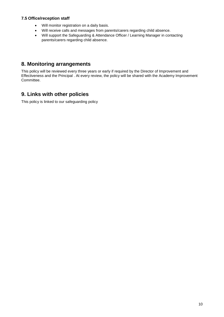# **7.5 Office/reception staff**

- Will monitor registration on a daily basis.
- Will receive calls and messages from parents/carers regarding child absence.
- Will support the Safeguarding & Attendance Officer / Learning Manager in contacting parents/carers regarding child absence.

# **8. Monitoring arrangements**

This policy will be reviewed every three years or early if required by the Director of Improvement and Effectiveness and the Principal . At every review, the policy will be shared with the Academy Improvement Committee.

# **9. Links with other policies**

This policy is linked to our safeguarding policy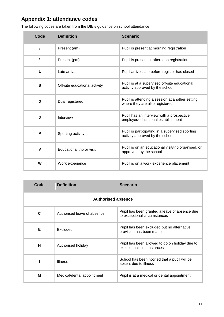# **Appendix 1: attendance codes**

| Code        | <b>Definition</b>             | <b>Scenario</b>                                                                    |
|-------------|-------------------------------|------------------------------------------------------------------------------------|
| $\prime$    | Present (am)                  | Pupil is present at morning registration                                           |
| Λ           | Present (pm)                  | Pupil is present at afternoon registration                                         |
| L           | Late arrival                  | Pupil arrives late before register has closed                                      |
| B           | Off-site educational activity | Pupil is at a supervised off-site educational<br>activity approved by the school   |
| D           | Dual registered               | Pupil is attending a session at another setting<br>where they are also registered  |
| J           | Interview                     | Pupil has an interview with a prospective<br>employer/educational establishment    |
| P           | Sporting activity             | Pupil is participating in a supervised sporting<br>activity approved by the school |
| $\mathbf v$ | Educational trip or visit     | Pupil is on an educational visit/trip organised, or<br>approved, by the school     |
| W           | Work experience               | Pupil is on a work experience placement                                            |

The following codes are taken from the DfE's guidance on school attendance.

| Code                      | <b>Definition</b>           | <b>Scenario</b>                                                               |  |
|---------------------------|-----------------------------|-------------------------------------------------------------------------------|--|
| <b>Authorised absence</b> |                             |                                                                               |  |
| C                         | Authorised leave of absence | Pupil has been granted a leave of absence due<br>to exceptional circumstances |  |
| Е                         | Excluded                    | Pupil has been excluded but no alternative<br>provision has been made         |  |
| н                         | Authorised holiday          | Pupil has been allowed to go on holiday due to<br>exceptional circumstances   |  |
|                           | <b>Illness</b>              | School has been notified that a pupil will be<br>absent due to illness        |  |
| M                         | Medical/dental appointment  | Pupil is at a medical or dental appointment                                   |  |